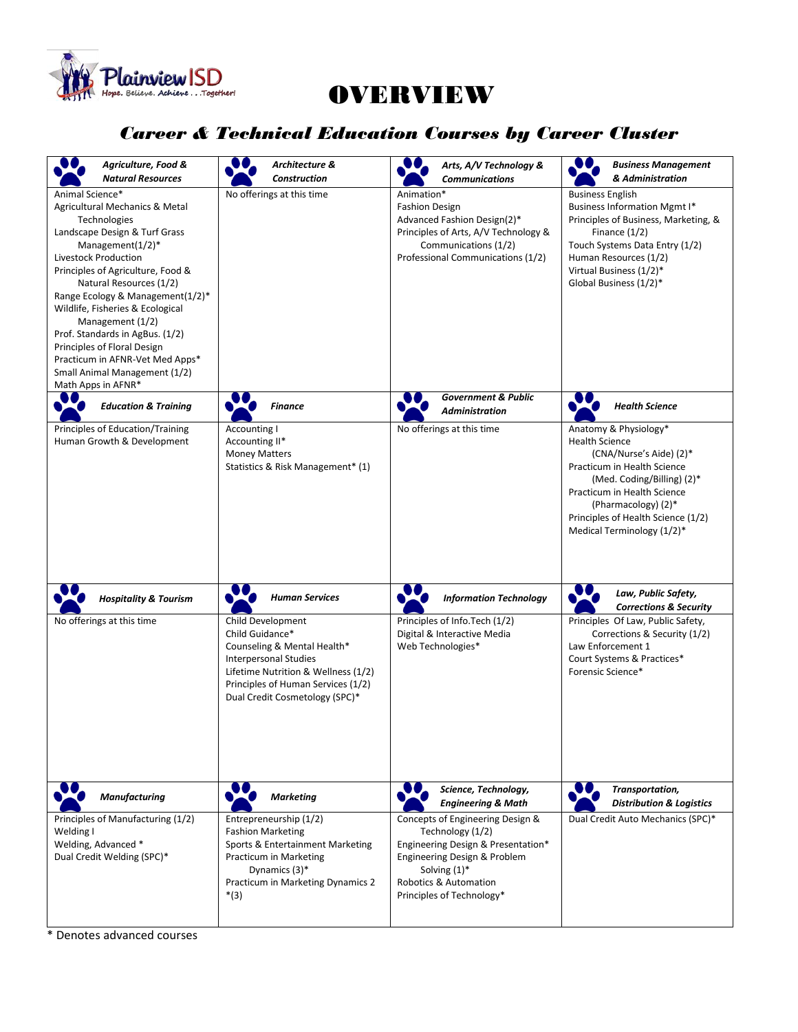

## OVERVIEW

## *Career & Technical Education Courses by Career Cluster*

| Agriculture, Food &<br><b>Natural Resources</b>                                                                                                                                                                                                                                                                                                                                                                                                                            | Architecture &<br><b>Construction</b>                                                                                                                                                                       | Arts, A/V Technology &<br><b>Communications</b>                                                                                                                                                     | <b>Business Management</b><br>& Administration                                                                                                                                                                                                                   |
|----------------------------------------------------------------------------------------------------------------------------------------------------------------------------------------------------------------------------------------------------------------------------------------------------------------------------------------------------------------------------------------------------------------------------------------------------------------------------|-------------------------------------------------------------------------------------------------------------------------------------------------------------------------------------------------------------|-----------------------------------------------------------------------------------------------------------------------------------------------------------------------------------------------------|------------------------------------------------------------------------------------------------------------------------------------------------------------------------------------------------------------------------------------------------------------------|
| Animal Science*<br>Agricultural Mechanics & Metal<br>Technologies<br>Landscape Design & Turf Grass<br>Management $(1/2)^*$<br>Livestock Production<br>Principles of Agriculture, Food &<br>Natural Resources (1/2)<br>Range Ecology & Management(1/2)*<br>Wildlife, Fisheries & Ecological<br>Management (1/2)<br>Prof. Standards in AgBus. (1/2)<br>Principles of Floral Design<br>Practicum in AFNR-Vet Med Apps*<br>Small Animal Management (1/2)<br>Math Apps in AFNR* | No offerings at this time                                                                                                                                                                                   | Animation*<br><b>Fashion Design</b><br>Advanced Fashion Design(2)*<br>Principles of Arts, A/V Technology &<br>Communications (1/2)<br>Professional Communications (1/2)                             | <b>Business English</b><br><b>Business Information Mgmt I*</b><br>Principles of Business, Marketing, &<br>Finance $(1/2)$<br>Touch Systems Data Entry (1/2)<br>Human Resources (1/2)<br>Virtual Business (1/2)*<br>Global Business (1/2)*                        |
| DO.<br><b>Education &amp; Training</b>                                                                                                                                                                                                                                                                                                                                                                                                                                     | <b>Finance</b>                                                                                                                                                                                              | <b>Government &amp; Public</b><br><b>Administration</b>                                                                                                                                             | <b>Health Science</b>                                                                                                                                                                                                                                            |
| Principles of Education/Training<br>Human Growth & Development                                                                                                                                                                                                                                                                                                                                                                                                             | Accounting I<br>Accounting II*<br><b>Money Matters</b><br>Statistics & Risk Management* (1)                                                                                                                 | No offerings at this time                                                                                                                                                                           | Anatomy & Physiology*<br><b>Health Science</b><br>(CNA/Nurse's Aide) (2)*<br>Practicum in Health Science<br>(Med. Coding/Billing) (2)*<br>Practicum in Health Science<br>(Pharmacology) (2)*<br>Principles of Health Science (1/2)<br>Medical Terminology (1/2)* |
| <b>Hospitality &amp; Tourism</b>                                                                                                                                                                                                                                                                                                                                                                                                                                           | <b>Human Services</b>                                                                                                                                                                                       | <b>Information Technology</b>                                                                                                                                                                       | Law, Public Safety,<br><b>Corrections &amp; Security</b>                                                                                                                                                                                                         |
| No offerings at this time                                                                                                                                                                                                                                                                                                                                                                                                                                                  | Child Development<br>Child Guidance*<br>Counseling & Mental Health*<br>Interpersonal Studies<br>Lifetime Nutrition & Wellness (1/2)<br>Principles of Human Services (1/2)<br>Dual Credit Cosmetology (SPC)* | Principles of Info.Tech (1/2)<br>Digital & Interactive Media<br>Web Technologies*                                                                                                                   | Principles Of Law, Public Safety,<br>Corrections & Security (1/2)<br>Law Enforcement 1<br>Court Systems & Practices*<br>Forensic Science*                                                                                                                        |
| <b>Manufacturing</b>                                                                                                                                                                                                                                                                                                                                                                                                                                                       | <b>Marketing</b>                                                                                                                                                                                            | Science, Technology,<br><b>Engineering &amp; Math</b>                                                                                                                                               | Transportation,<br><b>Distribution &amp; Logistics</b>                                                                                                                                                                                                           |
| Principles of Manufacturing (1/2)<br>Welding I<br>Welding, Advanced *<br>Dual Credit Welding (SPC)*                                                                                                                                                                                                                                                                                                                                                                        | Entrepreneurship (1/2)<br><b>Fashion Marketing</b><br>Sports & Entertainment Marketing<br>Practicum in Marketing<br>Dynamics (3)*<br>Practicum in Marketing Dynamics 2<br>$*(3)$                            | Concepts of Engineering Design &<br>Technology (1/2)<br>Engineering Design & Presentation*<br>Engineering Design & Problem<br>Solving $(1)^*$<br>Robotics & Automation<br>Principles of Technology* | Dual Credit Auto Mechanics (SPC)*                                                                                                                                                                                                                                |

\* Denotes advanced courses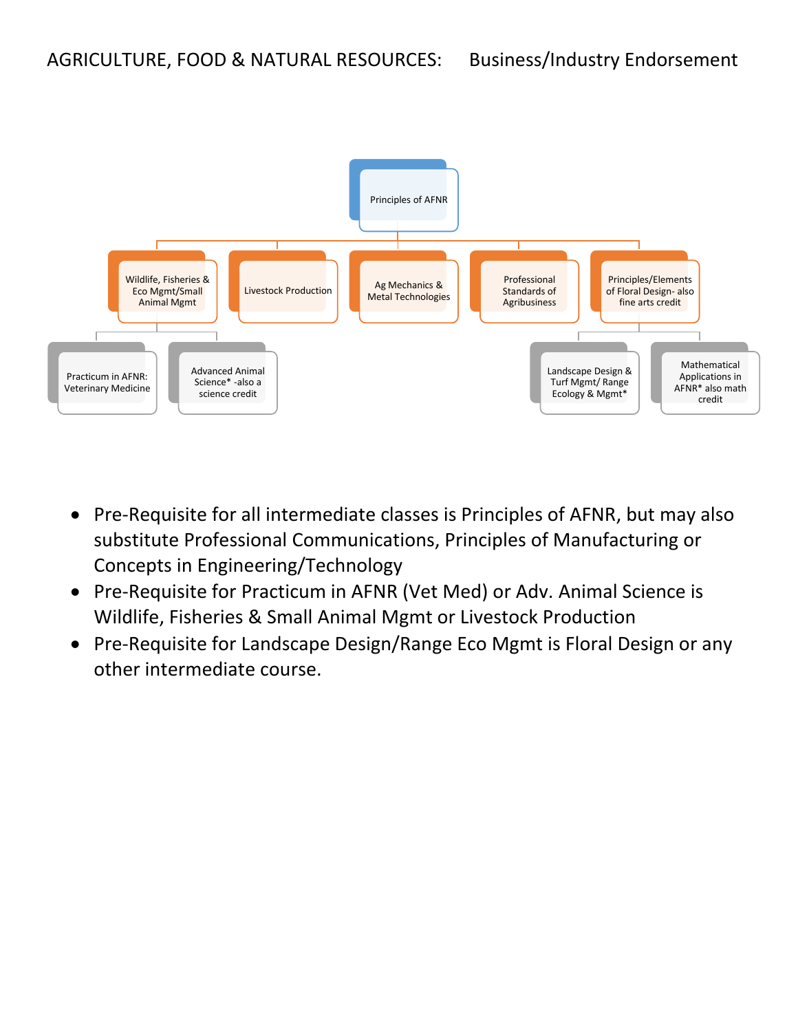

- Pre-Requisite for all intermediate classes is Principles of AFNR, but may also substitute Professional Communications, Principles of Manufacturing or Concepts in Engineering/Technology
- Pre-Requisite for Practicum in AFNR (Vet Med) or Adv. Animal Science is Wildlife, Fisheries & Small Animal Mgmt or Livestock Production
- Pre-Requisite for Landscape Design/Range Eco Mgmt is Floral Design or any other intermediate course.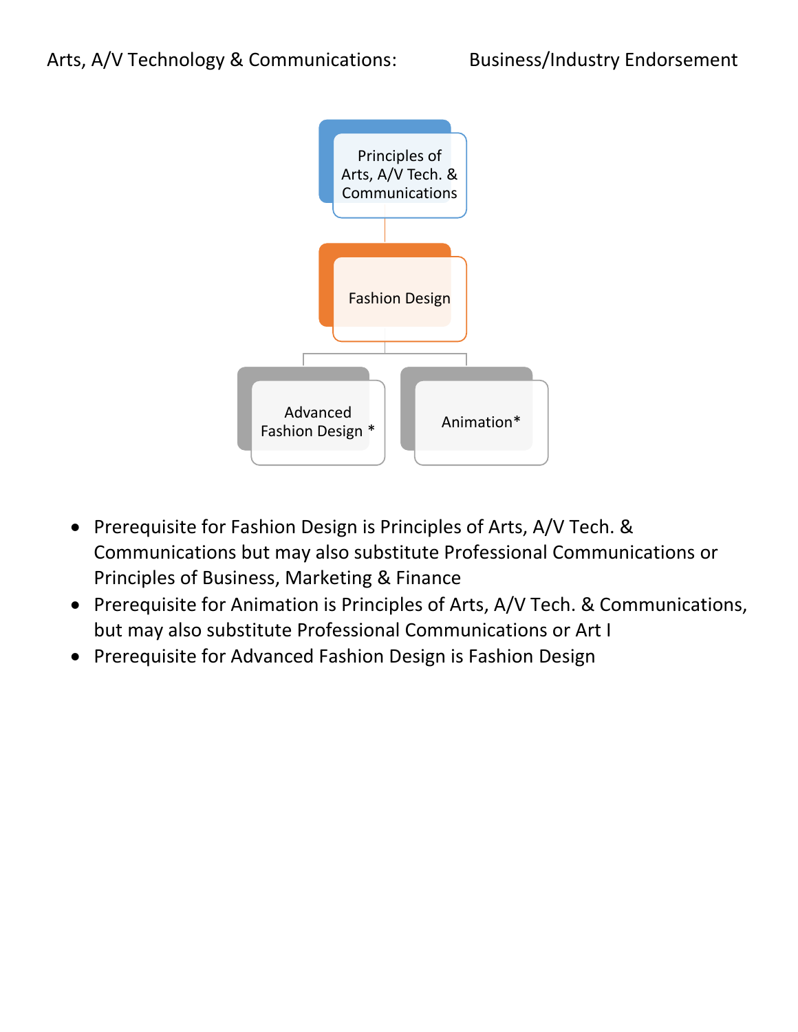

- Prerequisite for Fashion Design is Principles of Arts, A/V Tech. & Communications but may also substitute Professional Communications or Principles of Business, Marketing & Finance
- Prerequisite for Animation is Principles of Arts, A/V Tech. & Communications, but may also substitute Professional Communications or Art I
- Prerequisite for Advanced Fashion Design is Fashion Design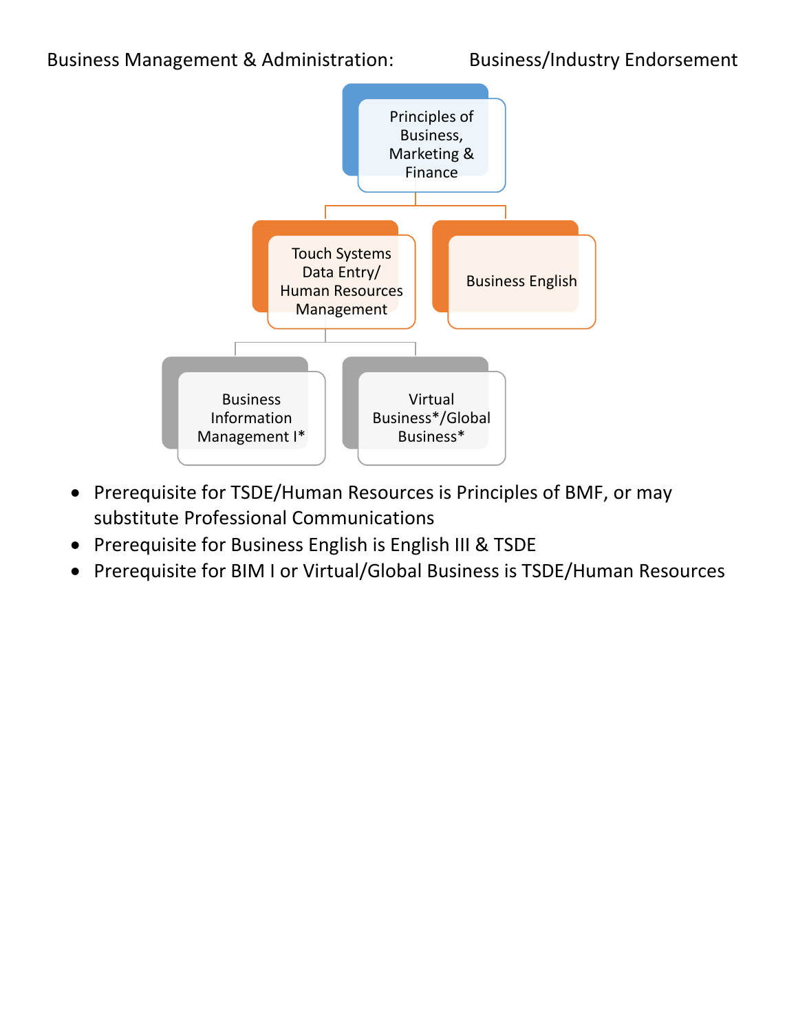

- Prerequisite for TSDE/Human Resources is Principles of BMF, or may substitute Professional Communications
- Prerequisite for Business English is English III & TSDE
- Prerequisite for BIM I or Virtual/Global Business is TSDE/Human Resources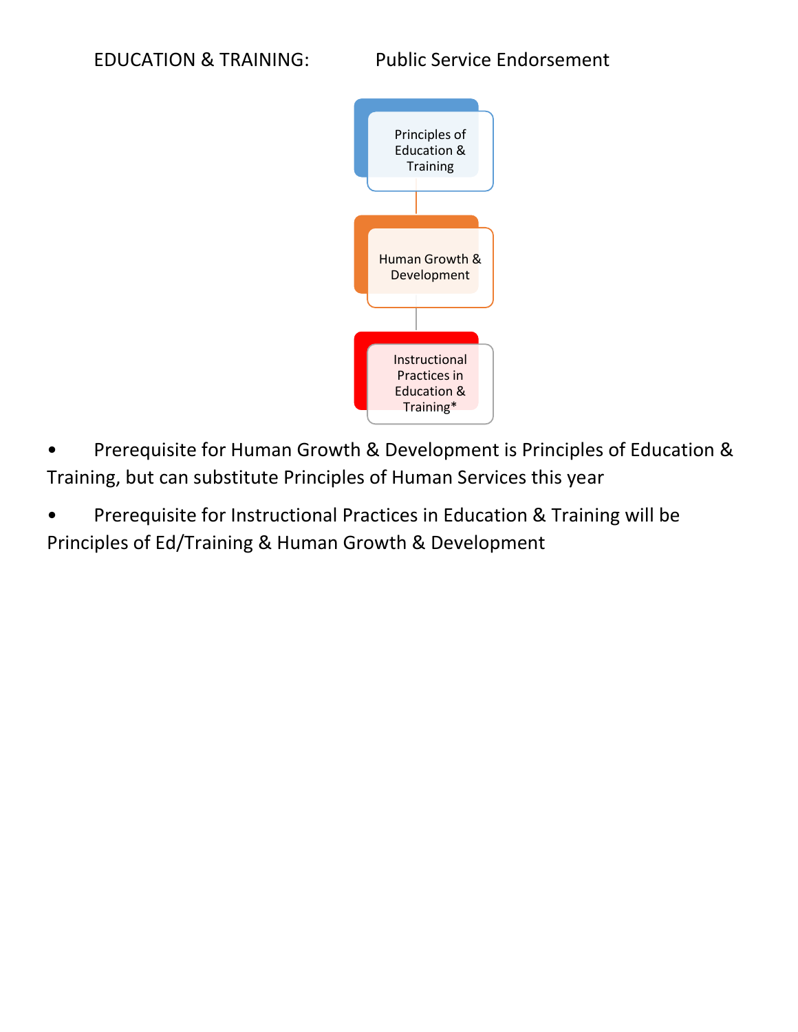

- Prerequisite for Human Growth & Development is Principles of Education & Training, but can substitute Principles of Human Services this year
- Prerequisite for Instructional Practices in Education & Training will be Principles of Ed/Training & Human Growth & Development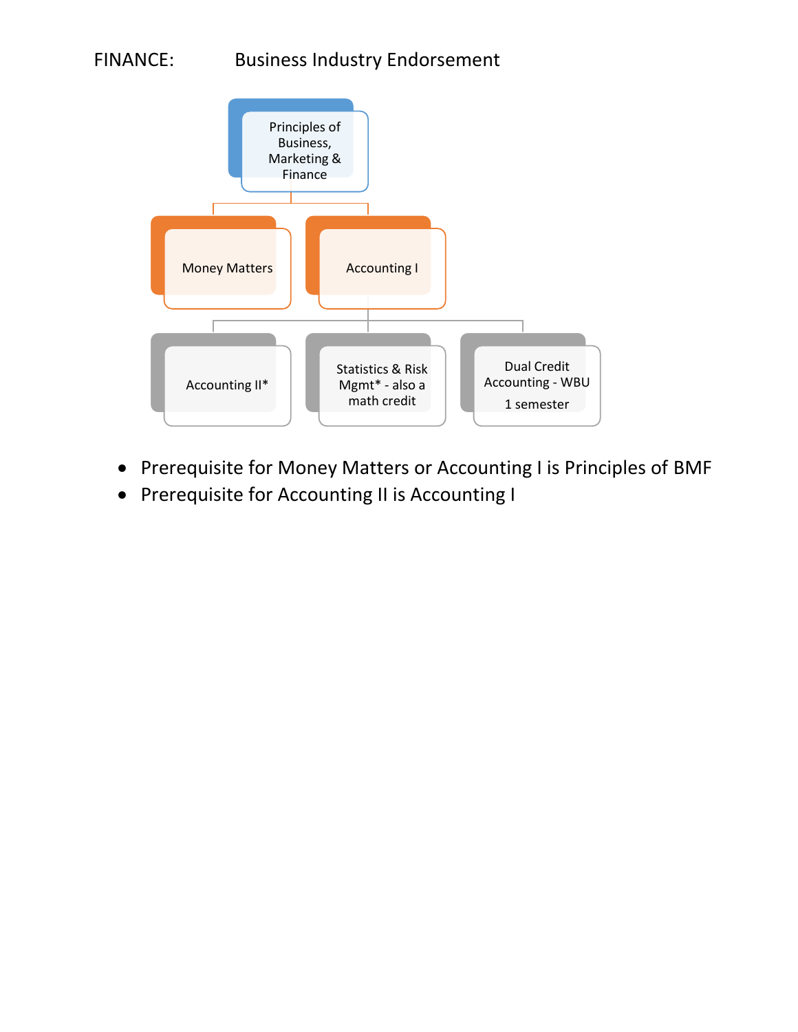## FINANCE: Business Industry Endorsement



- Prerequisite for Money Matters or Accounting I is Principles of BMF
- Prerequisite for Accounting II is Accounting I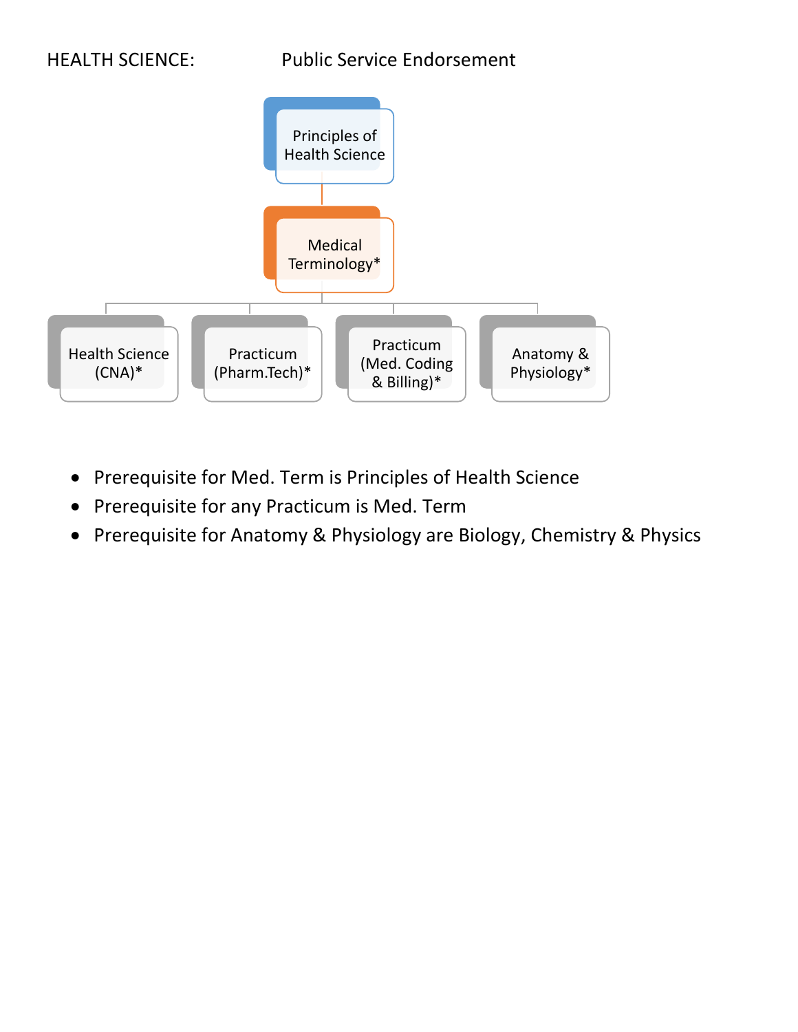

- Prerequisite for Med. Term is Principles of Health Science
- Prerequisite for any Practicum is Med. Term
- Prerequisite for Anatomy & Physiology are Biology, Chemistry & Physics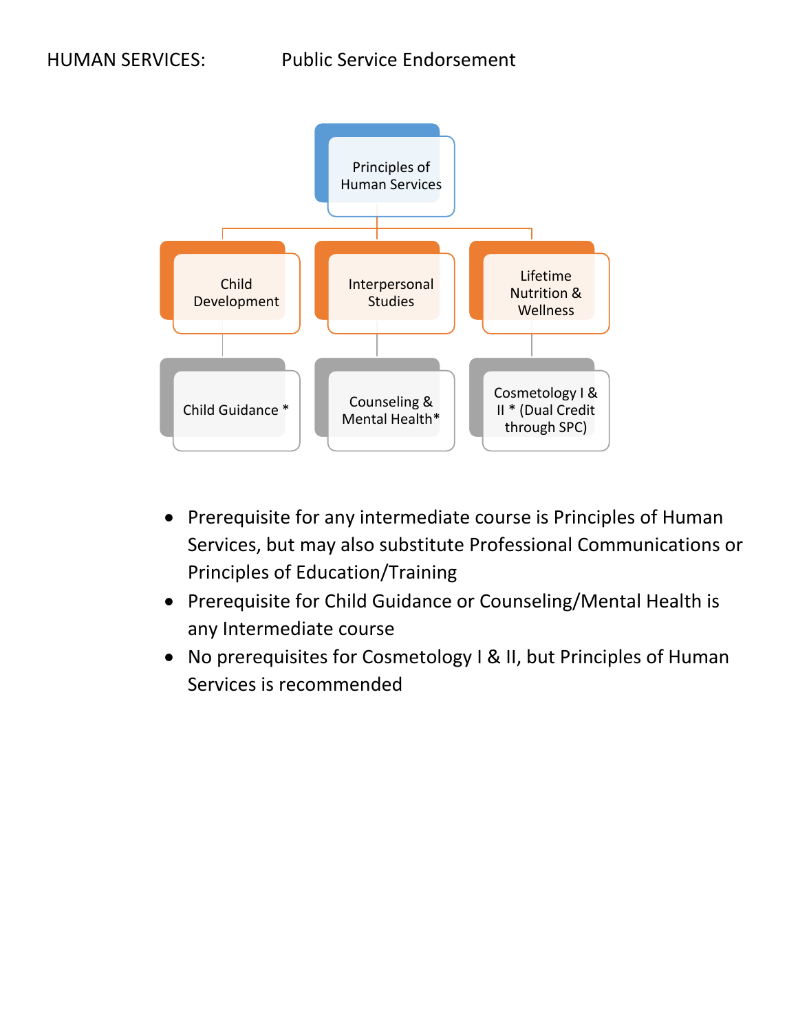

- Prerequisite for any intermediate course is Principles of Human Services, but may also substitute Professional Communications or Principles of Education/Training
- Prerequisite for Child Guidance or Counseling/Mental Health is any Intermediate course
- No prerequisites for Cosmetology I & II, but Principles of Human Services is recommended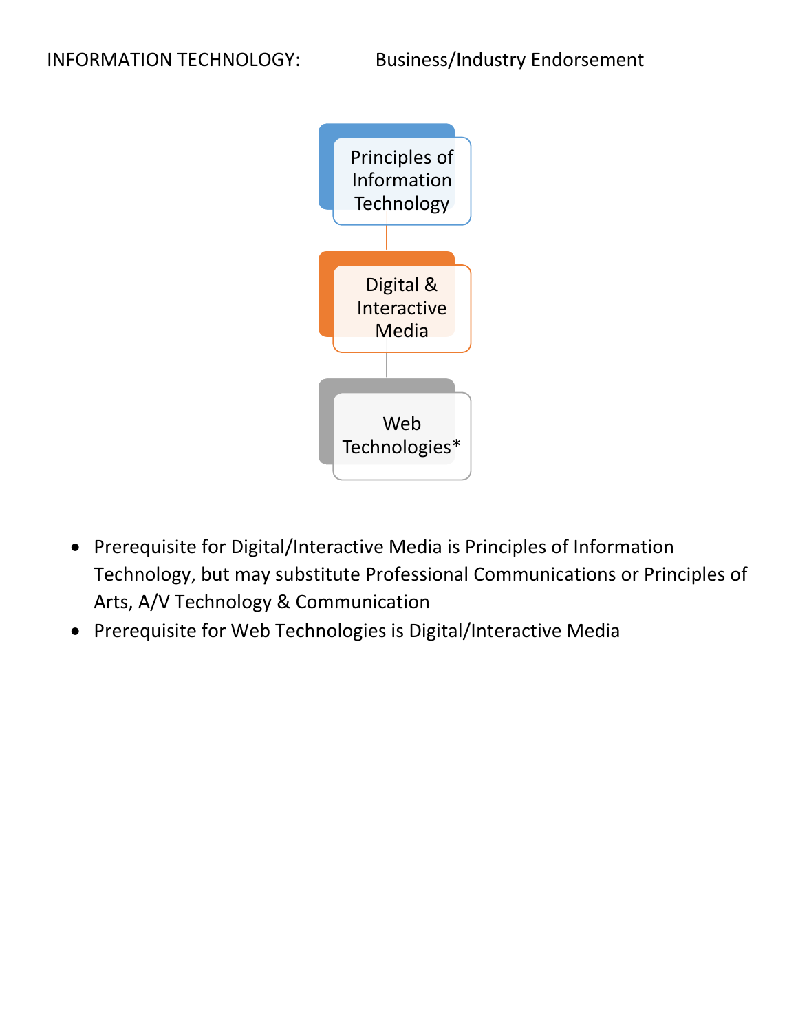

- Prerequisite for Digital/Interactive Media is Principles of Information Technology, but may substitute Professional Communications or Principles of Arts, A/V Technology & Communication
- Prerequisite for Web Technologies is Digital/Interactive Media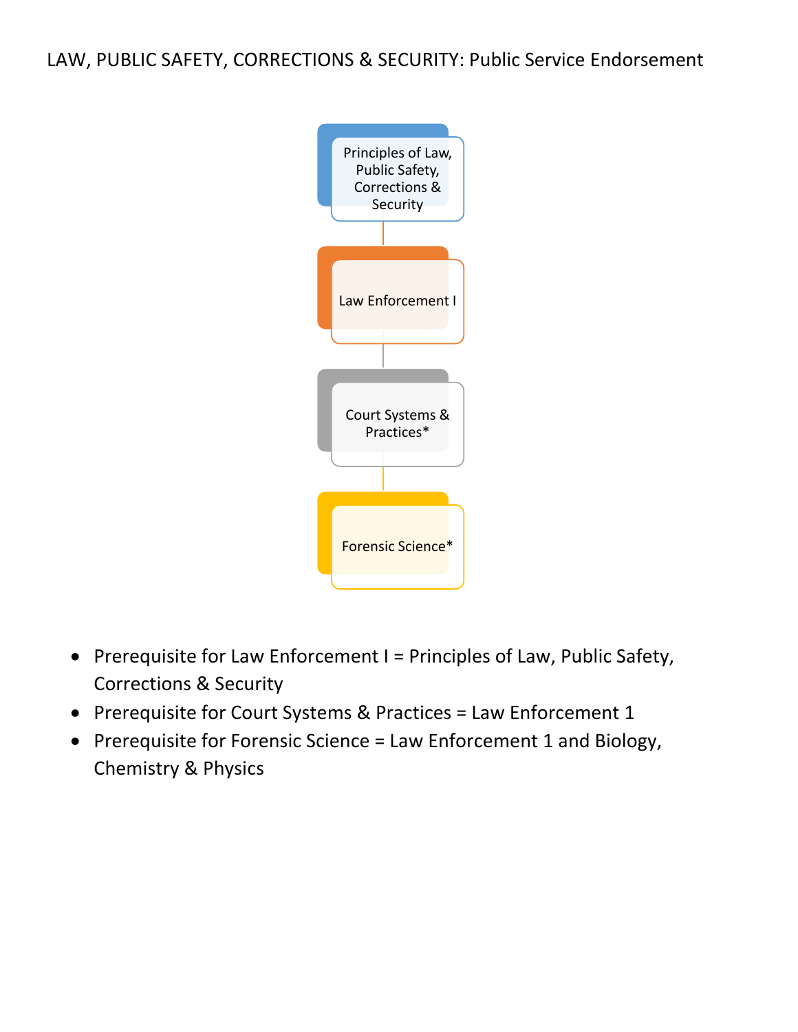LAW, PUBLIC SAFETY, CORRECTIONS & SECURITY: Public Service Endorsement



- Prerequisite for Law Enforcement I = Principles of Law, Public Safety, Corrections & Security
- Prerequisite for Court Systems & Practices = Law Enforcement 1
- Prerequisite for Forensic Science = Law Enforcement 1 and Biology, Chemistry & Physics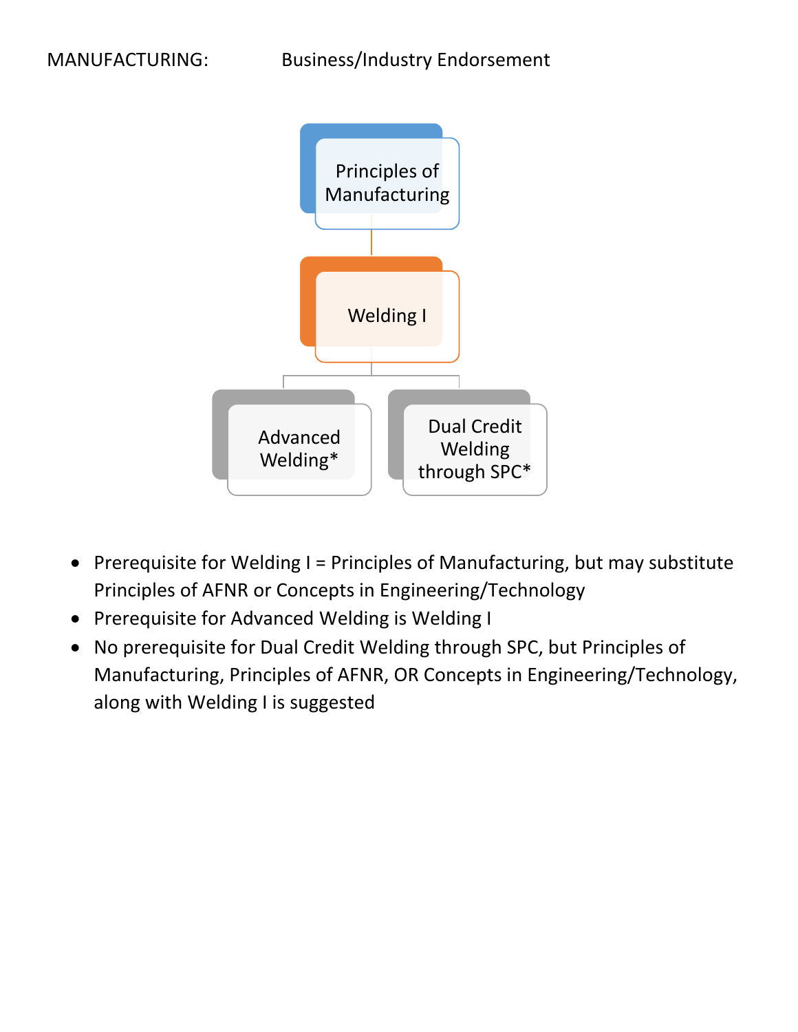

- Prerequisite for Welding I = Principles of Manufacturing, but may substitute Principles of AFNR or Concepts in Engineering/Technology
- Prerequisite for Advanced Welding is Welding I
- No prerequisite for Dual Credit Welding through SPC, but Principles of Manufacturing, Principles of AFNR, OR Concepts in Engineering/Technology, along with Welding I is suggested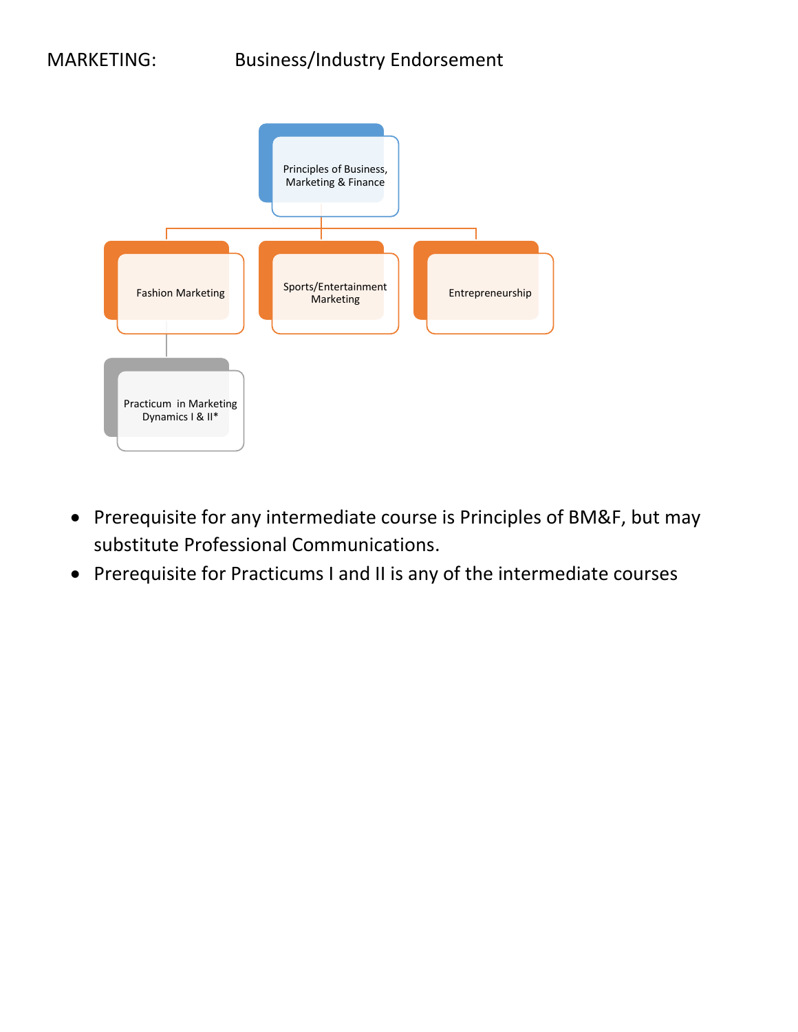

- Prerequisite for any intermediate course is Principles of BM&F, but may substitute Professional Communications.
- Prerequisite for Practicums I and II is any of the intermediate courses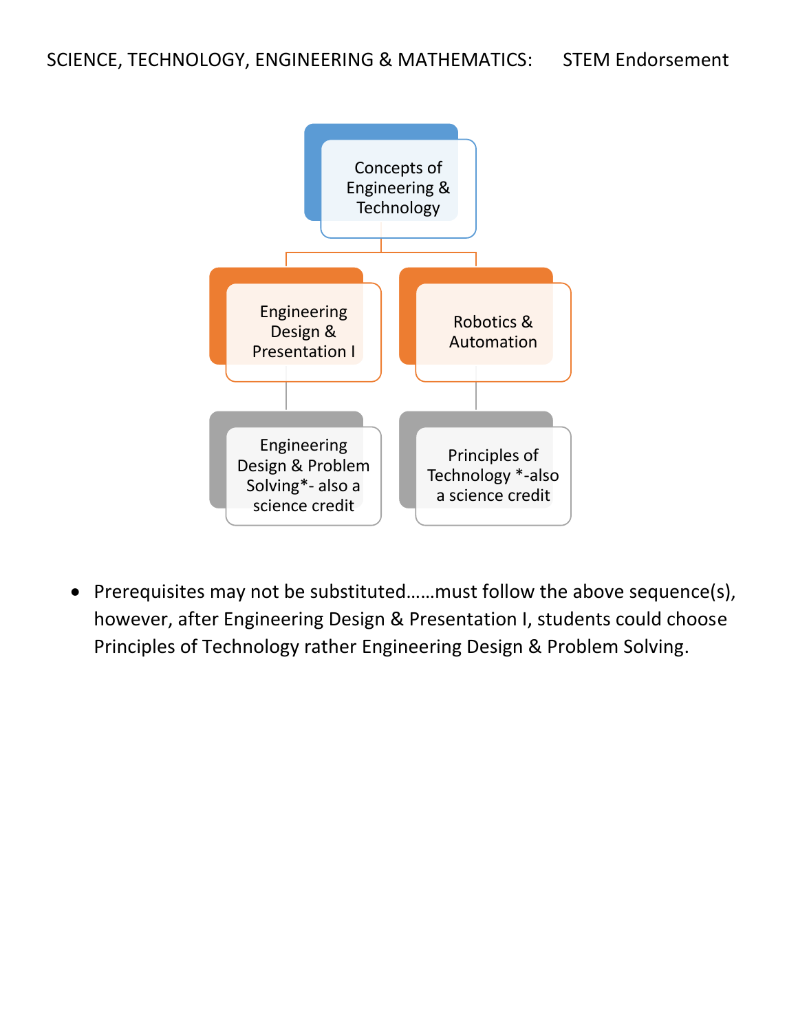

 Prerequisites may not be substituted……must follow the above sequence(s), however, after Engineering Design & Presentation I, students could choose Principles of Technology rather Engineering Design & Problem Solving.